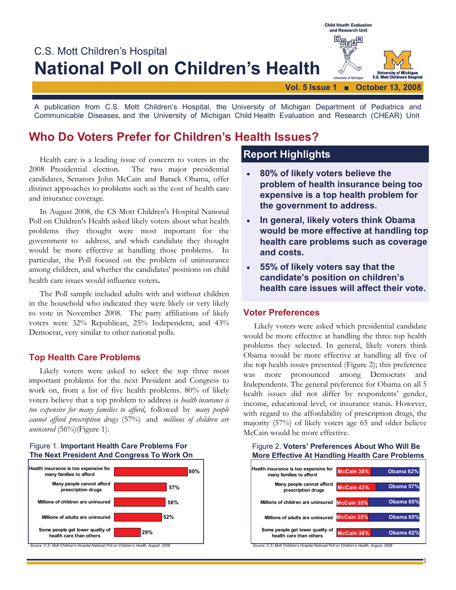

A publication from C.S. Mott Children's Hospital, the University of Michigan Department of Pediatrics and Communicable Diseases, and the University of Michigan Child Health Evaluation and Research (CHEAR) Unit

# **Who Do Voters Prefer for Children's Health Issues?**

 Health care is a leading issue of concern to voters in the 2008 Presidential election. The two major presidential candidates, Senators John McCain and Barack Obama, offer distinct approaches to problems such as the cost of health care and insurance coverage.

 In August 2008, the CS Mott Children's Hospital National Poll on Children's Health asked likely voters about what health problems they thought were most important for the government to address, and which candidate they thought would be more effective at handling those problems. In particular, the Poll focused on the problem of uninsurance among children, and whether the candidates' positions on child health care issues would influence voters.

 The Poll sample included adults with and without children in the household who indicated they were likely or very likely to vote in November 2008. The party affiliations of likely voters were 32% Republican, 25% Independent, and 43% Democrat, very similar to other national polls.

### **Top Health Care Problems**

 Likely voters were asked to select the top three most important problems for the next President and Congress to work on, from a list of five health problems. 80% of likely voters believe that a top problem to address is *health insurance is too expensive for many families to afford*, followed by *many people cannot afford prescription drugs* (57%) and *millions of children are uninsured* (56%)(Figure 1).

#### **The Next President And Congress To Work On 80% 57% Many people cannot afford Health insurance is too expensive for many families to afford**

Figure 1. **Important Health Care Problems For** 



*Source: C.S. Mott Children's Hospital National Poll on Children's Health, August, 2008*

## **Report Highlights**

- **80% of likely voters believe the problem of health insurance being too expensive is a top health problem for the government to address.**
- **In general, likely voters think Obama would be more effective at handling top health care problems such as coverage and costs.**
- **55% of likely voters say that the candidate's position on children's health care issues will affect their vote.**

### **Voter Preferences**

 Likely voters were asked which presidential candidate would be more effective at handling the three top health problems they selected. In general, likely voters think Obama would be more effective at handling all five of the top health issues presented (Figure 2); this preference was more pronounced among Democrats and Independents. The general preference for Obama on all 5 health issues did not differ by respondents' gender, income, educational level, or insurance status. However, with regard to the affordability of prescription drugs, the majority (57%) of likely voters age 65 and older believe McCain would be more effective.

#### Figure 2. **Voters' Preferences About Who Will Be More Effective At Handling Health Care Problems**

| Health insurance is too expensive for<br>many families to afford | McCain 38% | Obama 62% |
|------------------------------------------------------------------|------------|-----------|
| Many people cannot afford<br>prescription drugs                  | McCain 43% | Obama 57% |
| Millions of children are uninsured                               | McCain 35% | Obama 65% |
| Millions of adults are uninsured                                 | McCain 35% | Obama 65% |
| Some people get lower quality of<br>health care than others      | McCain 38% | Obama 62% |

1

*Source: C.S. Mott Children's Hospital National Poll on Children's Health, August, 2008*